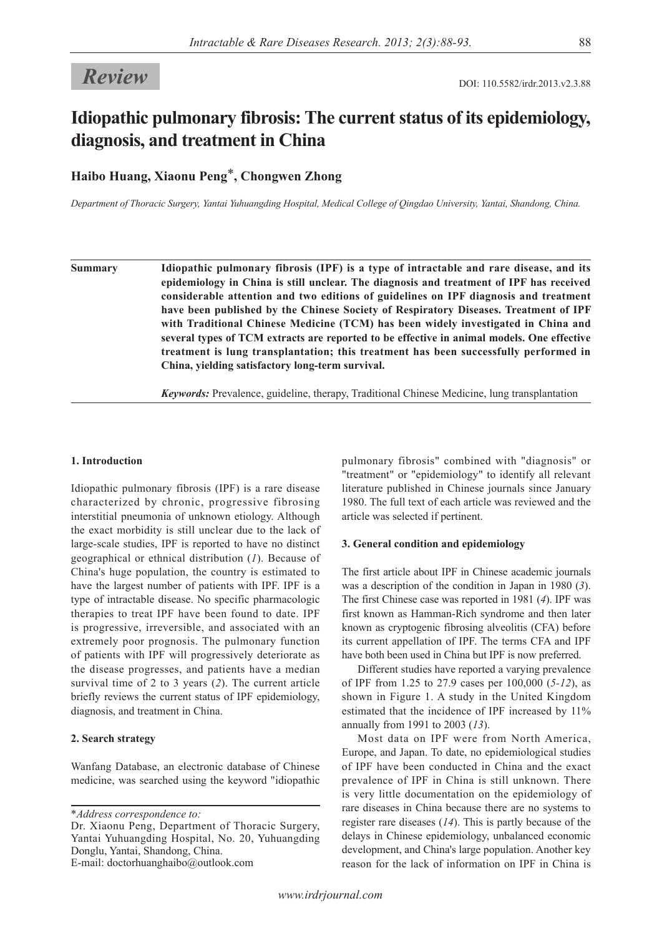# **Review** DOI: 110.5582/irdr.2013.v2.3.88

# **Idiopathic pulmonary fibrosis: The current status of its epidemiology, diagnosis, and treatment in China**

**Haibo Huang, Xiaonu Peng**\***, Chongwen Zhong**

*Department of Thoracic Surgery, Yantai Yuhuangding Hospital, Medical College of Qingdao University, Yantai, Shandong, China.*

**Summary Idiopathic pulmonary fibrosis (IPF) is a type of intractable and rare disease, and its epidemiology in China is still unclear. The diagnosis and treatment of IPF has received considerable attention and two editions of guidelines on IPF diagnosis and treatment have been published by the Chinese Society of Respiratory Diseases. Treatment of IPF with Traditional Chinese Medicine (TCM) has been widely investigated in China and several types of TCM extracts are reported to be effective in animal models. One effective treatment is lung transplantation; this treatment has been successfully performed in China, yielding satisfactory long-term survival.**

*Keywords:* Prevalence, guideline, therapy, Traditional Chinese Medicine, lung transplantation

# **1. Introduction**

Idiopathic pulmonary fibrosis (IPF) is a rare disease characterized by chronic, progressive fibrosing interstitial pneumonia of unknown etiology. Although the exact morbidity is still unclear due to the lack of large-scale studies, IPF is reported to have no distinct geographical or ethnical distribution (*1*). Because of China's huge population, the country is estimated to have the largest number of patients with IPF. IPF is a type of intractable disease. No specific pharmacologic therapies to treat IPF have been found to date. IPF is progressive, irreversible, and associated with an extremely poor prognosis. The pulmonary function of patients with IPF will progressively deteriorate as the disease progresses, and patients have a median survival time of 2 to 3 years (*2*). The current article briefly reviews the current status of IPF epidemiology, diagnosis, and treatment in China.

# **2. Search strategy**

Wanfang Database, an electronic database of Chinese medicine, was searched using the keyword "idiopathic

\**Address correspondence to:*

E-mail: doctorhuanghaibo@outlook.com

pulmonary fibrosis" combined with "diagnosis" or "treatment" or "epidemiology" to identify all relevant literature published in Chinese journals since January 1980. The full text of each article was reviewed and the article was selected if pertinent.

#### **3. General condition and epidemiology**

The first article about IPF in Chinese academic journals was a description of the condition in Japan in 1980 (*3*). The first Chinese case was reported in 1981 (*4*). IPF was first known as Hamman-Rich syndrome and then later known as cryptogenic fibrosing alveolitis (CFA) before its current appellation of IPF. The terms CFA and IPF have both been used in China but IPF is now preferred.

Different studies have reported a varying prevalence of IPF from 1.25 to 27.9 cases per 100,000 (*5-12*), as shown in Figure 1. A study in the United Kingdom estimated that the incidence of IPF increased by 11% annually from 1991 to 2003 (*13*).

Most data on IPF were from North America, Europe, and Japan. To date, no epidemiological studies of IPF have been conducted in China and the exact prevalence of IPF in China is still unknown. There is very little documentation on the epidemiology of rare diseases in China because there are no systems to register rare diseases (*14*). This is partly because of the delays in Chinese epidemiology, unbalanced economic development, and China's large population. Another key reason for the lack of information on IPF in China is

Dr. Xiaonu Peng, Department of Thoracic Surgery, Yantai Yuhuangding Hospital, No. 20, Yuhuangding Donglu, Yantai, Shandong, China.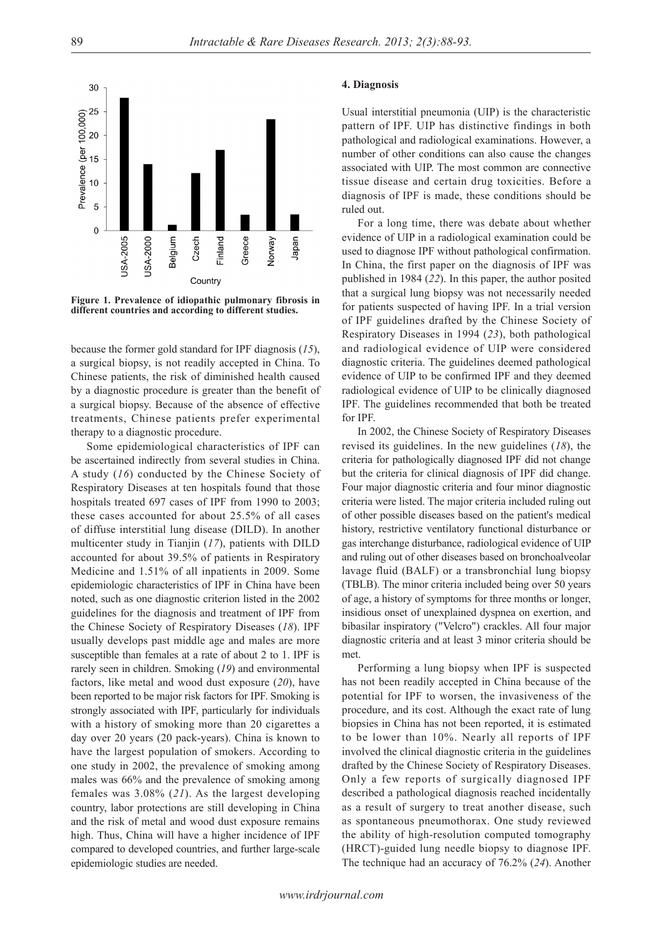

**Figure 1. Prevalence of idiopathic pulmonary fibrosis in different countries and according to different studies.**

because the former gold standard for IPF diagnosis (*15*), a surgical biopsy, is not readily accepted in China. To Chinese patients, the risk of diminished health caused by a diagnostic procedure is greater than the benefit of a surgical biopsy. Because of the absence of effective treatments, Chinese patients prefer experimental therapy to a diagnostic procedure.

Some epidemiological characteristics of IPF can be ascertained indirectly from several studies in China. A study (*16*) conducted by the Chinese Society of Respiratory Diseases at ten hospitals found that those hospitals treated 697 cases of IPF from 1990 to 2003; these cases accounted for about 25.5% of all cases of diffuse interstitial lung disease (DILD). In another multicenter study in Tianjin (*17*), patients with DILD accounted for about 39.5% of patients in Respiratory Medicine and 1.51% of all inpatients in 2009. Some epidemiologic characteristics of IPF in China have been noted, such as one diagnostic criterion listed in the 2002 guidelines for the diagnosis and treatment of IPF from the Chinese Society of Respiratory Diseases (*18*). IPF usually develops past middle age and males are more susceptible than females at a rate of about 2 to 1. IPF is rarely seen in children. Smoking (*19*) and environmental factors, like metal and wood dust exposure (*20*), have been reported to be major risk factors for IPF. Smoking is strongly associated with IPF, particularly for individuals with a history of smoking more than 20 cigarettes a day over 20 years (20 pack-years). China is known to have the largest population of smokers. According to one study in 2002, the prevalence of smoking among males was 66% and the prevalence of smoking among females was 3.08% (*21*). As the largest developing country, labor protections are still developing in China and the risk of metal and wood dust exposure remains high. Thus, China will have a higher incidence of IPF compared to developed countries, and further large-scale epidemiologic studies are needed.

## **4. Diagnosis**

Usual interstitial pneumonia (UIP) is the characteristic pattern of IPF. UIP has distinctive findings in both pathological and radiological examinations. However, a number of other conditions can also cause the changes associated with UIP. The most common are connective tissue disease and certain drug toxicities. Before a diagnosis of IPF is made, these conditions should be ruled out.

For a long time, there was debate about whether evidence of UIP in a radiological examination could be used to diagnose IPF without pathological confirmation. In China, the first paper on the diagnosis of IPF was published in 1984 (*22*). In this paper, the author posited that a surgical lung biopsy was not necessarily needed for patients suspected of having IPF. In a trial version of IPF guidelines drafted by the Chinese Society of Respiratory Diseases in 1994 (*23*), both pathological and radiological evidence of UIP were considered diagnostic criteria. The guidelines deemed pathological evidence of UIP to be confirmed IPF and they deemed radiological evidence of UIP to be clinically diagnosed IPF. The guidelines recommended that both be treated for IPF.

In 2002, the Chinese Society of Respiratory Diseases revised its guidelines. In the new guidelines (*18*), the criteria for pathologically diagnosed IPF did not change but the criteria for clinical diagnosis of IPF did change. Four major diagnostic criteria and four minor diagnostic criteria were listed. The major criteria included ruling out of other possible diseases based on the patient's medical history, restrictive ventilatory functional disturbance or gas interchange disturbance, radiological evidence of UIP and ruling out of other diseases based on bronchoalveolar lavage fluid (BALF) or a transbronchial lung biopsy (TBLB). The minor criteria included being over 50 years of age, a history of symptoms for three months or longer, insidious onset of unexplained dyspnea on exertion, and bibasilar inspiratory ("Velcro") crackles. All four major diagnostic criteria and at least 3 minor criteria should be met.

Performing a lung biopsy when IPF is suspected has not been readily accepted in China because of the potential for IPF to worsen, the invasiveness of the procedure, and its cost. Although the exact rate of lung biopsies in China has not been reported, it is estimated to be lower than 10%. Nearly all reports of IPF involved the clinical diagnostic criteria in the guidelines drafted by the Chinese Society of Respiratory Diseases. Only a few reports of surgically diagnosed IPF described a pathological diagnosis reached incidentally as a result of surgery to treat another disease, such as spontaneous pneumothorax. One study reviewed the ability of high-resolution computed tomography (HRCT)-guided lung needle biopsy to diagnose IPF. The technique had an accuracy of 76.2% (*24*). Another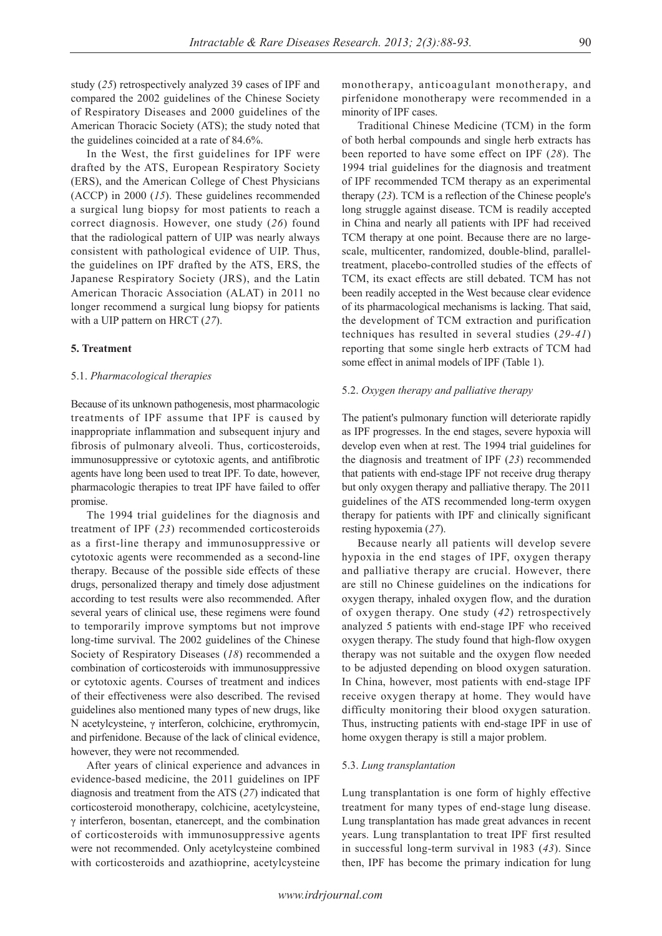study (*25*) retrospectively analyzed 39 cases of IPF and compared the 2002 guidelines of the Chinese Society of Respiratory Diseases and 2000 guidelines of the American Thoracic Society (ATS); the study noted that the guidelines coincided at a rate of 84.6%.

In the West, the first guidelines for IPF were drafted by the ATS, European Respiratory Society (ERS), and the American College of Chest Physicians (ACCP) in 2000 (*15*). These guidelines recommended a surgical lung biopsy for most patients to reach a correct diagnosis. However, one study (*26*) found that the radiological pattern of UIP was nearly always consistent with pathological evidence of UIP. Thus, the guidelines on IPF drafted by the ATS, ERS, the Japanese Respiratory Society (JRS), and the Latin American Thoracic Association (ALAT) in 2011 no longer recommend a surgical lung biopsy for patients with a UIP pattern on HRCT (*27*).

#### **5. Treatment**

#### 5.1. *Pharmacological therapies*

Because of its unknown pathogenesis, most pharmacologic treatments of IPF assume that IPF is caused by inappropriate inflammation and subsequent injury and fibrosis of pulmonary alveoli. Thus, corticosteroids, immunosuppressive or cytotoxic agents, and antifibrotic agents have long been used to treat IPF. To date, however, pharmacologic therapies to treat IPF have failed to offer promise.

The 1994 trial guidelines for the diagnosis and treatment of IPF (*23*) recommended corticosteroids as a first-line therapy and immunosuppressive or cytotoxic agents were recommended as a second-line therapy. Because of the possible side effects of these drugs, personalized therapy and timely dose adjustment according to test results were also recommended. After several years of clinical use, these regimens were found to temporarily improve symptoms but not improve long-time survival. The 2002 guidelines of the Chinese Society of Respiratory Diseases (*18*) recommended a combination of corticosteroids with immunosuppressive or cytotoxic agents. Courses of treatment and indices of their effectiveness were also described. The revised guidelines also mentioned many types of new drugs, like N acetylcysteine, γ interferon, colchicine, erythromycin, and pirfenidone. Because of the lack of clinical evidence, however, they were not recommended.

After years of clinical experience and advances in evidence-based medicine, the 2011 guidelines on IPF diagnosis and treatment from the ATS (*27*) indicated that corticosteroid monotherapy, colchicine, acetylcysteine, γ interferon, bosentan, etanercept, and the combination of corticosteroids with immunosuppressive agents were not recommended. Only acetylcysteine combined with corticosteroids and azathioprine, acetylcysteine

monotherapy, anticoagulant monotherapy, and pirfenidone monotherapy were recommended in a minority of IPF cases.

Traditional Chinese Medicine (TCM) in the form of both herbal compounds and single herb extracts has been reported to have some effect on IPF (*28*). The 1994 trial guidelines for the diagnosis and treatment of IPF recommended TCM therapy as an experimental therapy (*23*). TCM is a reflection of the Chinese people's long struggle against disease. TCM is readily accepted in China and nearly all patients with IPF had received TCM therapy at one point. Because there are no largescale, multicenter, randomized, double-blind, paralleltreatment, placebo-controlled studies of the effects of TCM, its exact effects are still debated. TCM has not been readily accepted in the West because clear evidence of its pharmacological mechanisms is lacking. That said, the development of TCM extraction and purification techniques has resulted in several studies (*29-41*) reporting that some single herb extracts of TCM had some effect in animal models of IPF (Table 1).

#### 5.2. *Oxygen therapy and palliative therapy*

The patient's pulmonary function will deteriorate rapidly as IPF progresses. In the end stages, severe hypoxia will develop even when at rest. The 1994 trial guidelines for the diagnosis and treatment of IPF (*23*) recommended that patients with end-stage IPF not receive drug therapy but only oxygen therapy and palliative therapy. The 2011 guidelines of the ATS recommended long-term oxygen therapy for patients with IPF and clinically significant resting hypoxemia (*27*).

Because nearly all patients will develop severe hypoxia in the end stages of IPF, oxygen therapy and palliative therapy are crucial. However, there are still no Chinese guidelines on the indications for oxygen therapy, inhaled oxygen flow, and the duration of oxygen therapy. One study (*42*) retrospectively analyzed 5 patients with end-stage IPF who received oxygen therapy. The study found that high-flow oxygen therapy was not suitable and the oxygen flow needed to be adjusted depending on blood oxygen saturation. In China, however, most patients with end-stage IPF receive oxygen therapy at home. They would have difficulty monitoring their blood oxygen saturation. Thus, instructing patients with end-stage IPF in use of home oxygen therapy is still a major problem.

#### 5.3. *Lung transplantation*

Lung transplantation is one form of highly effective treatment for many types of end-stage lung disease. Lung transplantation has made great advances in recent years. Lung transplantation to treat IPF first resulted in successful long-term survival in 1983 (*43*). Since then, IPF has become the primary indication for lung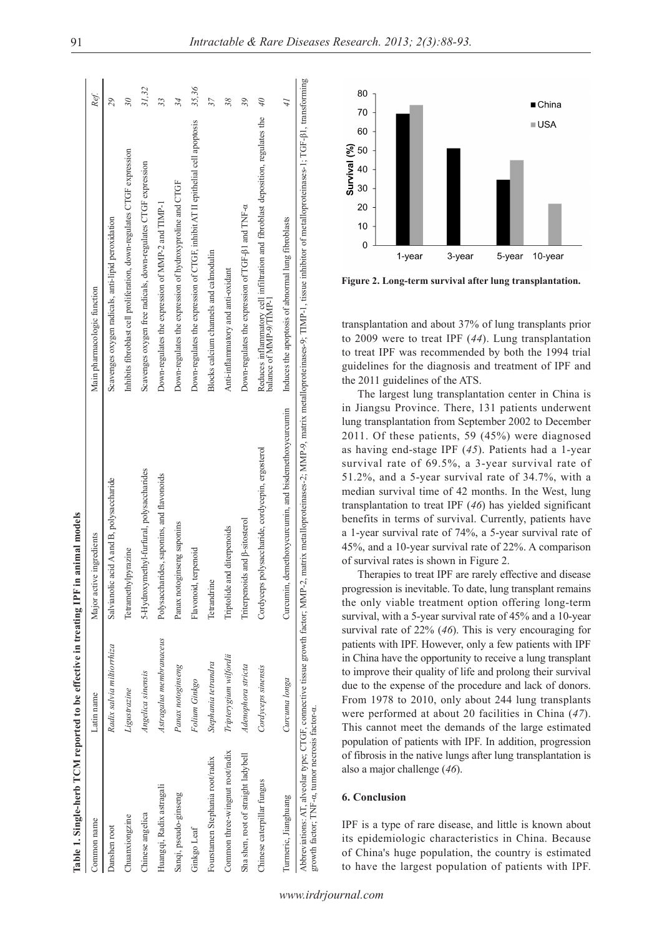| Common name                                    | Latin name                | ingredients<br>Major active                           | Main pharmacologic function                                                                                                                                                                                             | Ref.                     |
|------------------------------------------------|---------------------------|-------------------------------------------------------|-------------------------------------------------------------------------------------------------------------------------------------------------------------------------------------------------------------------------|--------------------------|
| Danshen root                                   | Radix salvia miltiorrhiza | Salvianolic acid A and B, polysaccharide              | Scavenges oxygen radicals, anti-lipid peroxidation                                                                                                                                                                      | 29                       |
| Chuanxiongzine                                 | Ligustrazine              | Tetramethylpyrazine                                   | Inhibits fibroblast cell proliferation, down-regulates CTGF expression                                                                                                                                                  | $\overline{\mathcal{S}}$ |
| Chinese angelica                               | Angelica sinensis         | 5-Hydroxymethyl-furfural, polysaccharides             | Scavenges oxygen free radicals, down-regulates CTGF expression                                                                                                                                                          | 31,32                    |
| Huangqi, Radix astragali                       | Astragalus membranaceus   | Polysaccharides, saponins, and flavonoids             | Down-regulates the expression of MMP-2 and TIMP-1                                                                                                                                                                       | 33                       |
| Sanqi, pseudo-ginseng                          | Panax notoginseng         | Panax notoginseng saponins                            | Down-regulates the expression of hydroxyproline and CTGF                                                                                                                                                                | 34                       |
| Ginkgo Leaf                                    | Folium Ginkgo             | Flavonoid, terpenoid                                  | Down-regulates the expression of CTGF, inhibit AT II epithelial cell apoptosis                                                                                                                                          | 35,36                    |
| Fourstamen Stephania root/radix                | Stephania tetrandra       | Tetrandrine                                           | Blocks calcium channels and calmodulin                                                                                                                                                                                  | 37                       |
| Common three-wingnut root/radix                | Tripterygium wilfordii    | Triptolide and diterpenoids                           | Anti-inflammatory and anti-oxidant                                                                                                                                                                                      | 38                       |
| Sha shen, root of straight ladybell            | Adenophora stricta        | and <b>B-sitosterol</b><br>Triterpenoids              | Down-regulates the expression of TGF-ß1 and TNF-a                                                                                                                                                                       | 39                       |
| Chinese caterpillar fungus                     | Cordyceps sinensis        | Cordyceps polysaccharide, cordycepin, ergosterol      | Reduces inflammatory cell infiltration and fibroblast deposition, regulates the<br>balance of MMP-9/TIMP-1                                                                                                              | 9Þ                       |
| Turmeric, Jianghuang                           | Curcuma longa             | Curcumin, demethoxycurcumin, and bisdemethoxycurcumin | Induces the apoptosis of abnormal lung fibroblasts                                                                                                                                                                      | $\tilde{t}$              |
| growth factor; TNF-a, tumor necrosis factor-a. |                           |                                                       | Abbreviations: AT, alveolar type; CTGF, connective tissue growth factor; MMP-2, matrix metalloproteinases-2; MMP-9, matrix metalloproteinases-9; TIMP-1, tissue inhibitor of metalloproteinases-1; TGF-β1, transforming |                          |



**Figure 2. Long-term survival after lung transplantation.**

transplantation and about 37% of lung transplants prior to 2009 were to treat IPF (*44*). Lung transplantation to treat IPF was recommended by both the 1994 trial guidelines for the diagnosis and treatment of IPF and the 2011 guidelines of the ATS.

The largest lung transplantation center in China is in Jiangsu Province. There, 131 patients underwent lung transplantation from September 2002 to December 2011. Of these patients, 59 (45%) were diagnosed as having end-stage IPF (*45*). Patients had a 1-year survival rate of 69.5%, a 3-year survival rate of 51.2%, and a 5-year survival rate of 34.7%, with a median survival time of 42 months. In the West, lung transplantation to treat IPF (*46*) has yielded significant benefits in terms of survival. Currently, patients have a 1-year survival rate of 74%, a 5-year survival rate of 45%, and a 10-year survival rate of 22%. A comparison of survival rates is shown in Figure 2.

Therapies to treat IPF are rarely effective and disease progression is inevitable. To date, lung transplant remains the only viable treatment option offering long-term survival, with a 5-year survival rate of 45% and a 10-year survival rate of 22% (*46*). This is very encouraging for patients with IPF. However, only a few patients with IPF in China have the opportunity to receive a lung transplant to improve their quality of life and prolong their survival due to the expense of the procedure and lack of donors. From 1978 to 2010, only about 244 lung transplants were performed at about 20 facilities in China (*47*). This cannot meet the demands of the large estimated population of patients with IPF. In addition, progression of fibrosis in the native lungs after lung transplantation is also a major challenge (*46*).

## **6. Conclusion**

IPF is a type of rare disease, and little is known about its epidemiologic characteristics in China. Because of China's huge population, the country is estimated to have the largest population of patients with IPF.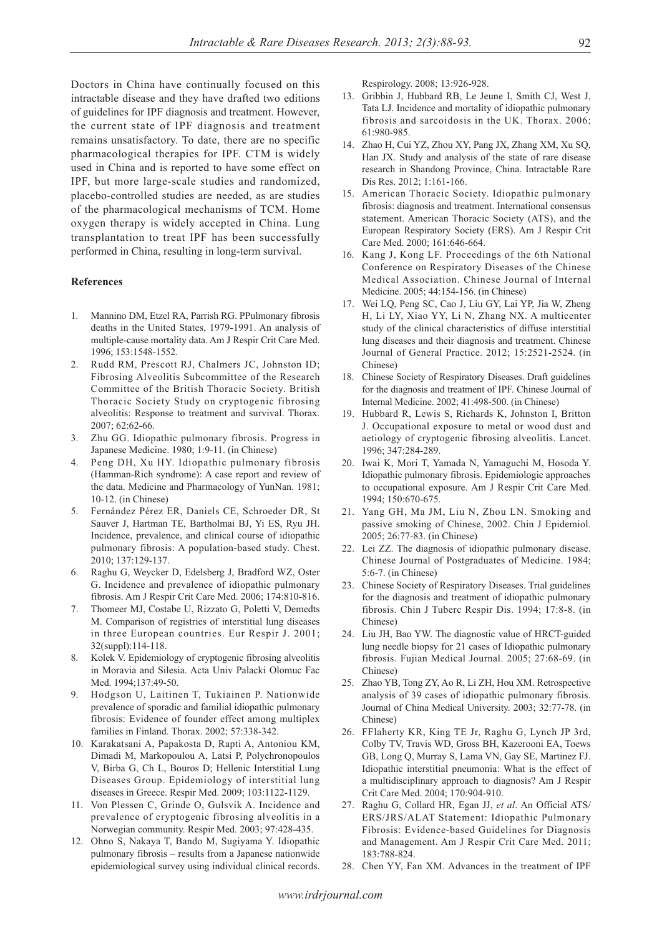Doctors in China have continually focused on this intractable disease and they have drafted two editions of guidelines for IPF diagnosis and treatment. However, the current state of IPF diagnosis and treatment remains unsatisfactory. To date, there are no specific pharmacological therapies for IPF. CTM is widely used in China and is reported to have some effect on IPF, but more large-scale studies and randomized, placebo-controlled studies are needed, as are studies of the pharmacological mechanisms of TCM. Home oxygen therapy is widely accepted in China. Lung transplantation to treat IPF has been successfully performed in China, resulting in long-term survival.

# **References**

- 1. Mannino DM, Etzel RA, Parrish RG. PPulmonary fibrosis deaths in the United States, 1979-1991. An analysis of multiple-cause mortality data. Am J Respir Crit Care Med. 1996; 153:1548-1552.
- 2. Rudd RM, Prescott RJ, Chalmers JC, Johnston ID; Fibrosing Alveolitis Subcommittee of the Research Committee of the British Thoracic Society. British Thoracic Society Study on cryptogenic fibrosing alveolitis: Response to treatment and survival. Thorax. 2007; 62:62-66.
- 3. Zhu GG. Idiopathic pulmonary fibrosis. Progress in Japanese Medicine. 1980; 1:9-11. (in Chinese)
- 4. Peng DH, Xu HY. Idiopathic pulmonary fibrosis (Hamman-Rich syndrome): A case report and review of the data. Medicine and Pharmacology of YunNan. 1981; 10-12. (in Chinese)
- 5. Fernández Pérez ER, Daniels CE, Schroeder DR, St Sauver J, Hartman TE, Bartholmai BJ, Yi ES, Ryu JH. Incidence, prevalence, and clinical course of idiopathic pulmonary fibrosis: A population-based study. Chest. 2010; 137:129-137.
- 6. Raghu G, Weycker D, Edelsberg J, Bradford WZ, Oster G. Incidence and prevalence of idiopathic pulmonary fibrosis. Am J Respir Crit Care Med. 2006; 174:810-816.
- 7. Thomeer MJ, Costabe U, Rizzato G, Poletti V, Demedts M. Comparison of registries of interstitial lung diseases in three European countries. Eur Respir J. 2001; 32(suppl):114-118.
- Kolek V. Epidemiology of cryptogenic fibrosing alveolitis in Moravia and Silesia. Acta Univ Palacki Olomuc Fac Med. 1994;137:49-50.
- 9. Hodgson U, Laitinen T, Tukiainen P. Nationwide prevalence of sporadic and familial idiopathic pulmonary fibrosis: Evidence of founder effect among multiplex families in Finland. Thorax. 2002; 57:338-342.
- 10. Karakatsani A, Papakosta D, Rapti A, Antoniou KM, Dimadi M, Markopoulou A, Latsi P, Polychronopoulos V, Birba G, Ch L, Bouros D; Hellenic Interstitial Lung Diseases Group. Epidemiology of interstitial lung diseases in Greece. Respir Med. 2009; 103:1122-1129.
- 11. Von Plessen C, Grinde O, Gulsvik A. Incidence and prevalence of cryptogenic fibrosing alveolitis in a Norwegian community. Respir Med. 2003; 97:428-435.
- 12. Ohno S, Nakaya T, Bando M, Sugiyama Y. Idiopathic pulmonary fibrosis – results from a Japanese nationwide epidemiological survey using individual clinical records.

Respirology. 2008; 13:926-928.

- 13. Gribbin J, Hubbard RB, Le Jeune I, Smith CJ, West J, Tata LJ. Incidence and mortality of idiopathic pulmonary fibrosis and sarcoidosis in the UK. Thorax. 2006; 61:980-985.
- 14. Zhao H, Cui YZ, Zhou XY, Pang JX, Zhang XM, Xu SQ, Han JX. Study and analysis of the state of rare disease research in Shandong Province, China. Intractable Rare Dis Res. 2012; 1:161-166.
- 15. American Thoracic Society. Idiopathic pulmonary fibrosis: diagnosis and treatment. International consensus statement. American Thoracic Society (ATS), and the European Respiratory Society (ERS). Am J Respir Crit Care Med. 2000; 161:646-664.
- 16. Kang J, Kong LF. Proceedings of the 6th National Conference on Respiratory Diseases of the Chinese Medical Association. Chinese Journal of Internal Medicine. 2005; 44:154-156. (in Chinese)
- 17. Wei LQ, Peng SC, Cao J, Liu GY, Lai YP, Jia W, Zheng H, Li LY, Xiao YY, Li N, Zhang NX. A multicenter study of the clinical characteristics of diffuse interstitial lung diseases and their diagnosis and treatment. Chinese Journal of General Practice. 2012; 15:2521-2524. (in Chinese)
- 18. Chinese Society of Respiratory Diseases. Draft guidelines for the diagnosis and treatment of IPF. Chinese Journal of Internal Medicine. 2002; 41:498-500. (in Chinese)
- 19. Hubbard R, Lewis S, Richards K, Johnston I, Britton J. Occupational exposure to metal or wood dust and aetiology of cryptogenic fibrosing alveolitis. Lancet. 1996; 347:284-289.
- 20. Iwai K, Mori T, Yamada N, Yamaguchi M, Hosoda Y. Idiopathic pulmonary fibrosis. Epidemiologic approaches to occupational exposure. Am J Respir Crit Care Med. 1994; 150:670-675.
- 21. Yang GH, Ma JM, Liu N, Zhou LN. Smoking and passive smoking of Chinese, 2002. Chin J Epidemiol. 2005; 26:77-83. (in Chinese)
- 22. Lei ZZ. The diagnosis of idiopathic pulmonary disease. Chinese Journal of Postgraduates of Medicine. 1984; 5:6-7. (in Chinese)
- 23. Chinese Society of Respiratory Diseases. Trial guidelines for the diagnosis and treatment of idiopathic pulmonary fibrosis. Chin J Tuberc Respir Dis. 1994; 17:8-8. (in Chinese)
- 24. Liu JH, Bao YW. The diagnostic value of HRCT-guided lung needle biopsy for 21 cases of Idiopathic pulmonary fibrosis. Fujian Medical Journal. 2005; 27:68-69. (in Chinese)
- 25. Zhao YB, Tong ZY, Ao R, Li ZH, Hou XM. Retrospective analysis of 39 cases of idiopathic pulmonary fibrosis. Journal of China Medical University. 2003; 32:77-78. (in Chinese)
- 26. FFlaherty KR, King TE Jr, Raghu G, Lynch JP 3rd, Colby TV, Travis WD, Gross BH, Kazerooni EA, Toews GB, Long Q, Murray S, Lama VN, Gay SE, Martinez FJ. Idiopathic interstitial pneumonia: What is the effect of a multidisciplinary approach to diagnosis? Am J Respir Crit Care Med. 2004; 170:904-910.
- 27. Raghu G, Collard HR, Egan JJ, *et al*. An Official ATS/ ERS/JRS/ALAT Statement: Idiopathic Pulmonary Fibrosis: Evidence-based Guidelines for Diagnosis and Management. Am J Respir Crit Care Med. 2011; 183:788-824.
- 28. Chen YY, Fan XM. Advances in the treatment of IPF